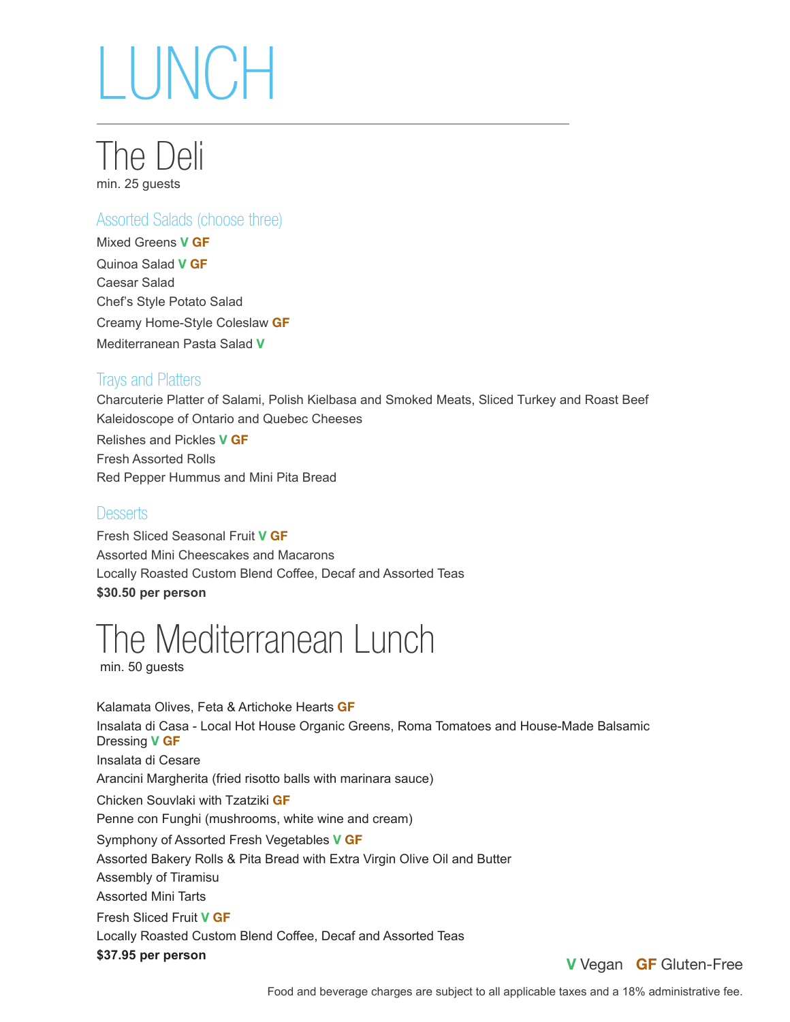

### Assorted Salads (choose three)

Mixed Greens **V GF** Quinoa Salad **V GF** Caesar Salad Chef's Style Potato Salad Creamy Home-Style Coleslaw **GF** Mediterranean Pasta Salad **V**

### Trays and Platters

Charcuterie Platter of Salami, Polish Kielbasa and Smoked Meats, Sliced Turkey and Roast Beef Kaleidoscope of Ontario and Quebec Cheeses Relishes and Pickles **V GF** Fresh Assorted Rolls Red Pepper Hummus and Mini Pita Bread

### **Desserts**

Fresh Sliced Seasonal Fruit **V GF** Assorted Mini Cheescakes and Macarons Locally Roasted Custom Blend Coffee, Decaf and Assorted Teas **\$30.50 per person** 

## The Mediterranean Lunch

min. 50 guests

Kalamata Olives, Feta & Artichoke Hearts **GF** Insalata di Casa - Local Hot House Organic Greens, Roma Tomatoes and House-Made Balsamic Dressing **V GF** Insalata di Cesare Arancini Margherita (fried risotto balls with marinara sauce) Chicken Souvlaki with Tzatziki **GF** Penne con Funghi (mushrooms, white wine and cream) Symphony of Assorted Fresh Vegetables **V GF** Assorted Bakery Rolls & Pita Bread with Extra Virgin Olive Oil and Butter Assembly of Tiramisu Assorted Mini Tarts Fresh Sliced Fruit **V GF** Locally Roasted Custom Blend Coffee, Decaf and Assorted Teas **\$37.95 per person** 

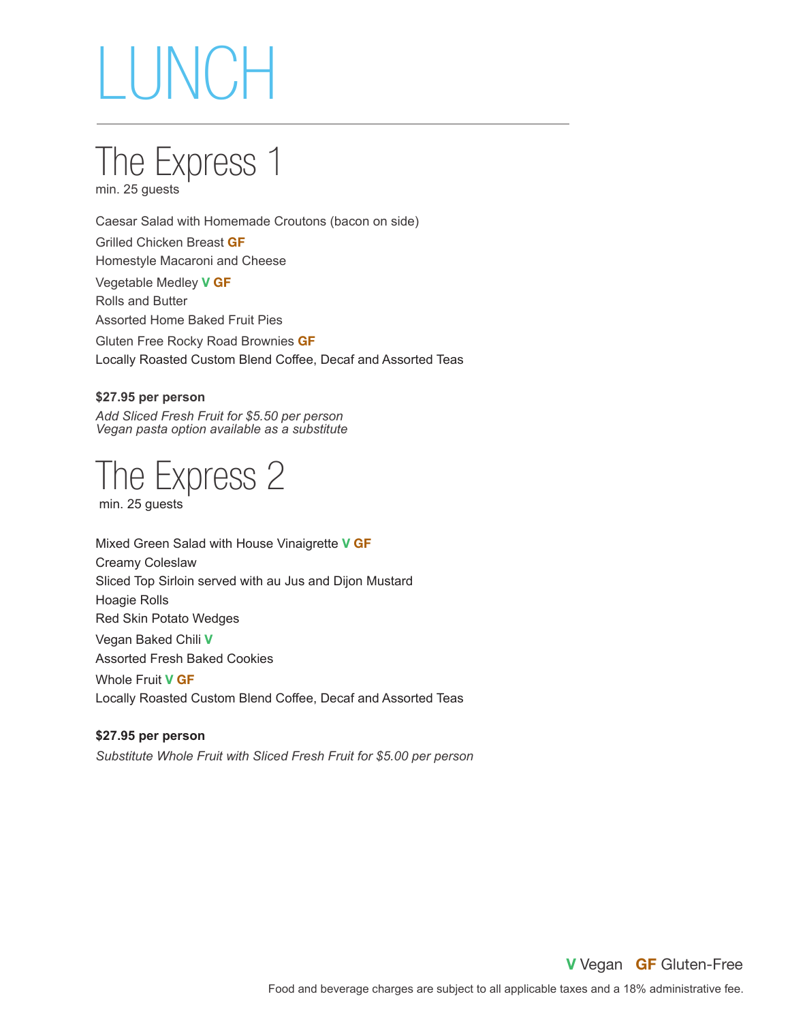

Caesar Salad with Homemade Croutons (bacon on side) Grilled Chicken Breast **GF** Homestyle Macaroni and Cheese Vegetable Medley **V GF** Rolls and Butter Assorted Home Baked Fruit Pies Gluten Free Rocky Road Brownies **GF**

Locally Roasted Custom Blend Coffee, Decaf and Assorted Teas

#### **\$27.95 per person**

*Add Sliced Fresh Fruit for \$5.50 per person Vegan pasta option available as a substitute* 

The Express 2

min. 25 guests

Mixed Green Salad with House Vinaigrette **V GF** Creamy Coleslaw Sliced Top Sirloin served with au Jus and Dijon Mustard Hoagie Rolls Red Skin Potato Wedges Vegan Baked Chili **V** Assorted Fresh Baked Cookies Whole Fruit **V GF** Locally Roasted Custom Blend Coffee, Decaf and Assorted Teas

**\$27.95 per person**  *Substitute Whole Fruit with Sliced Fresh Fruit for \$5.00 per person*

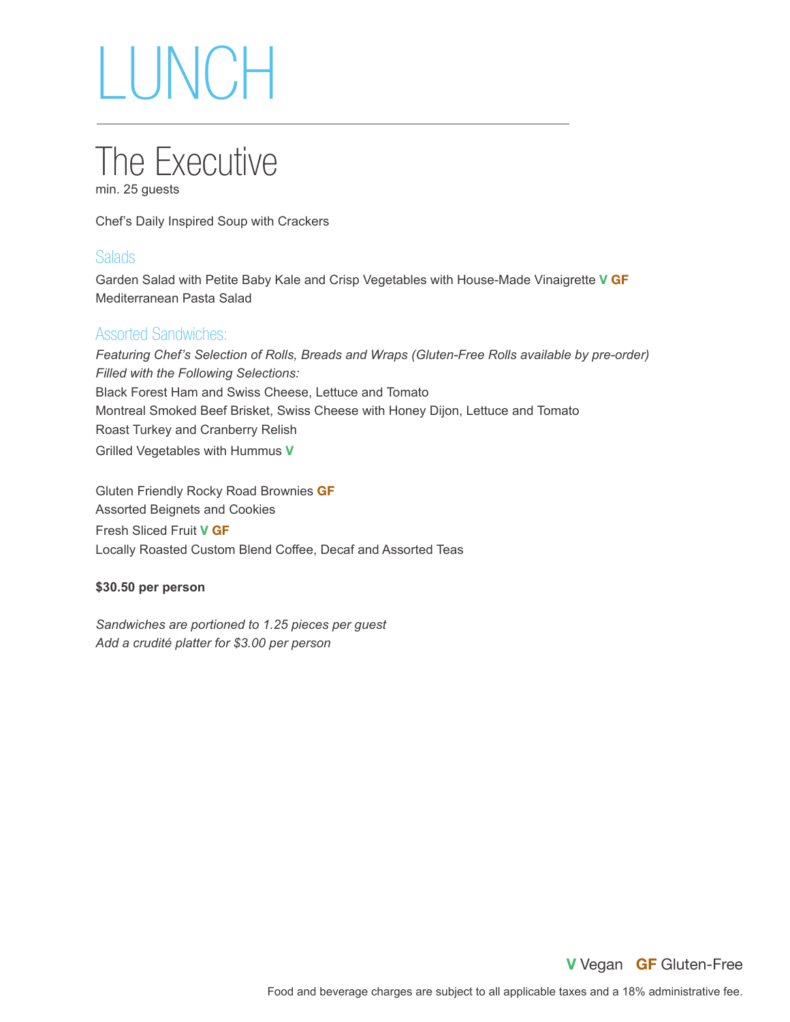

Chef's Daily Inspired Soup with Crackers

### **Salads**

Garden Salad with Petite Baby Kale and Crisp Vegetables with House-Made Vinaigrette **V GF** Mediterranean Pasta Salad

### Assorted Sandwiches:

*Featuring Chef's Selection of Rolls, Breads and Wraps (Gluten-Free Rolls available by pre-order) Filled with the Following Selections:* Black Forest Ham and Swiss Cheese, Lettuce and Tomato Montreal Smoked Beef Brisket, Swiss Cheese with Honey Dijon, Lettuce and Tomato Roast Turkey and Cranberry Relish Grilled Vegetables with Hummus **V**

Gluten Friendly Rocky Road Brownies **GF** Assorted Beignets and Cookies Fresh Sliced Fruit **V GF** Locally Roasted Custom Blend Coffee, Decaf and Assorted Teas

### **\$30.50 per person**

*Sandwiches are portioned to 1.25 pieces per guest Add a crudité platter for \$3.00 per person*

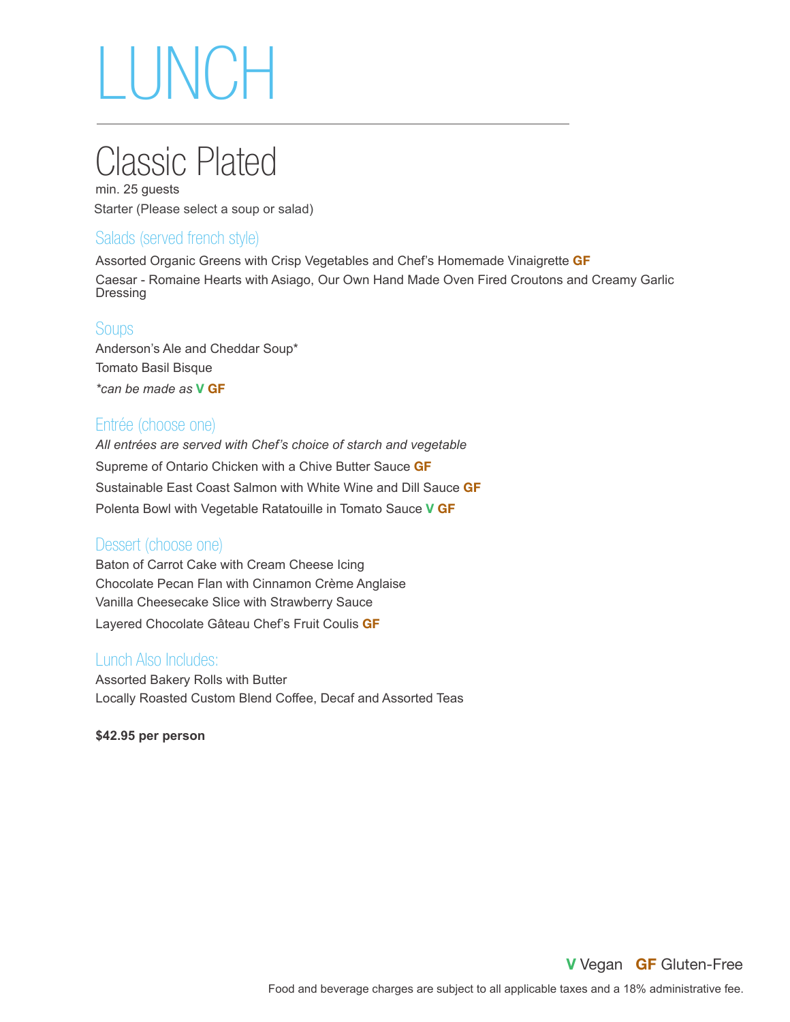## Classic Plated

min. 25 guests Starter (Please select a soup or salad)

## Salads (served french style)

Assorted Organic Greens with Crisp Vegetables and Chef's Homemade Vinaigrette **GF** Caesar - Romaine Hearts with Asiago, Our Own Hand Made Oven Fired Croutons and Creamy Garlic Dressing

### **Soups**

Anderson's Ale and Cheddar Soup\* Tomato Basil Bisque *\*can be made as* **V GF**

### Entrée (choose one)

*All entrées are served with Chef's choice of starch and vegetable* Supreme of Ontario Chicken with a Chive Butter Sauce **GF** Sustainable East Coast Salmon with White Wine and Dill Sauce **GF** Polenta Bowl with Vegetable Ratatouille in Tomato Sauce **V GF**

### Dessert (choose one)

Baton of Carrot Cake with Cream Cheese Icing Chocolate Pecan Flan with Cinnamon Crème Anglaise Vanilla Cheesecake Slice with Strawberry Sauce Layered Chocolate Gâteau Chef's Fruit Coulis **GF**

### Lunch Also Includes:

Assorted Bakery Rolls with Butter Locally Roasted Custom Blend Coffee, Decaf and Assorted Teas

**\$42.95 per person**